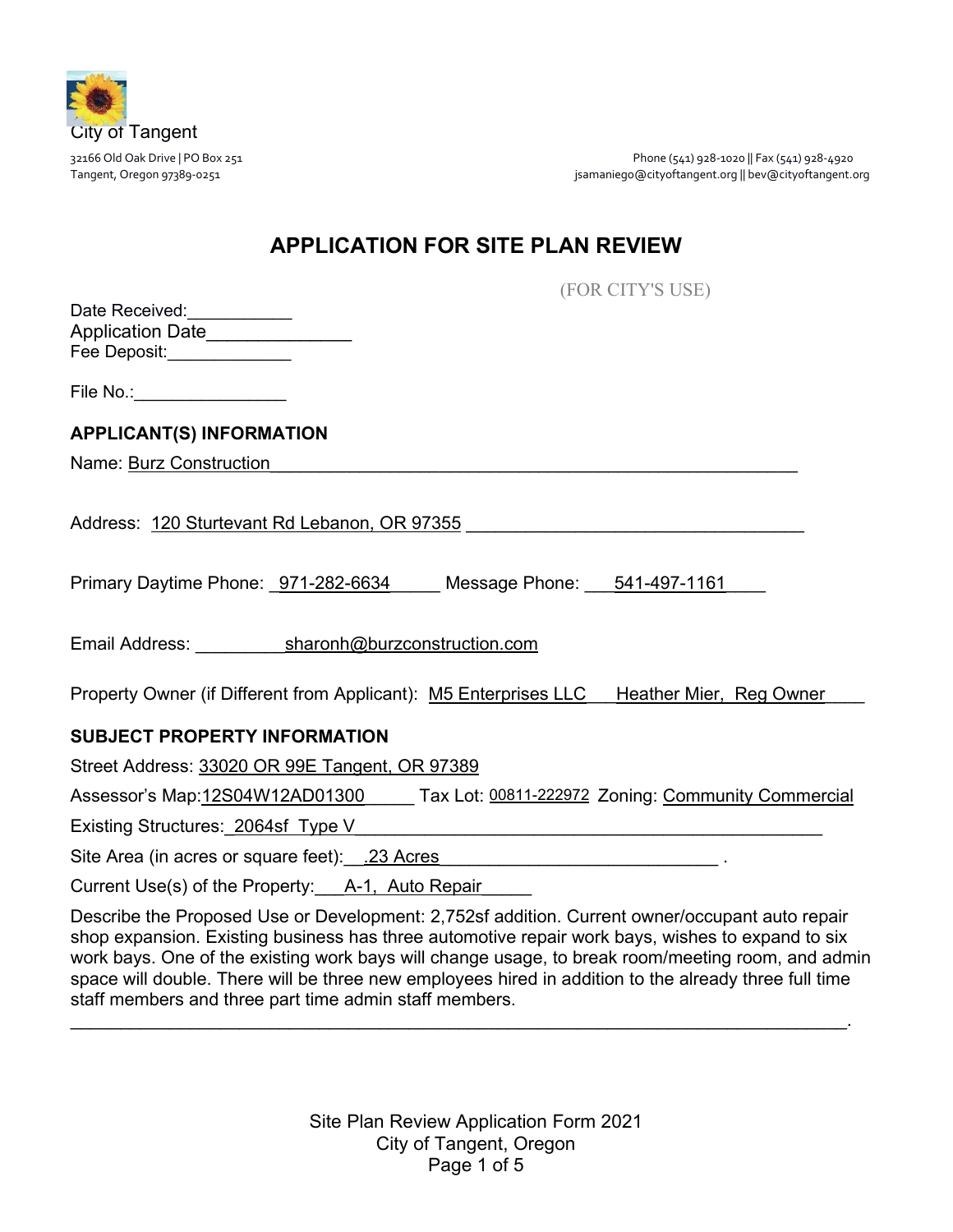

32166 Old Oak Drive | PO Box 251 Phone (541) 928-1020 || Fax (541) 928-4920 Tangent, Oregon 97389-0251 **januariego@cityoftangent.org || bev@cityoftangent.org** || bev@cityoftangent.org || bev@cityoftangent.org

# **APPLICATION FOR SITE PLAN REVIEW**

(FOR CITY'S USE)

| Date Received:          |  |
|-------------------------|--|
| <b>Application Date</b> |  |
| Fee Deposit:            |  |

File No.:\_\_\_\_\_\_\_\_\_\_\_\_\_\_\_\_

# **APPLICANT(S) INFORMATION**

Name: Burz Construction

Address: 120 Sturtevant Rd Lebanon, OR 97355

Primary Daytime Phone:  $971-282-6634$  Message Phone:  $541-497-1161$ 

Email Address: sharonh@burzconstruction.com

Property Owner (if Different from Applicant): M5 Enterprises LLC Heather Mier, Reg Owner

### **SUBJECT PROPERTY INFORMATION**

Street Address: 33020 OR 99E Tangent, OR 97389

Assessor's Map:12S04W12AD01300 Tax Lot: 00811-222972 Zoning: Community Commercial

Existing Structures: 2064sf Type V

Site Area (in acres or square feet): .23 Acres

Current Use(s) of the Property: A-1, Auto Repair

Describe the Proposed Use or Development: 2,752sf addition. Current owner/occupant auto repair shop expansion. Existing business has three automotive repair work bays, wishes to expand to six work bays. One of the existing work bays will change usage, to break room/meeting room, and admin space will double. There will be three new employees hired in addition to the already three full time staff members and three part time admin staff members.

\_\_\_\_\_\_\_\_\_\_\_\_\_\_\_\_\_\_\_\_\_\_\_\_\_\_\_\_\_\_\_\_\_\_\_\_\_\_\_\_\_\_\_\_\_\_\_\_\_\_\_\_\_\_\_\_\_\_\_\_\_\_\_\_\_\_\_\_\_\_\_\_\_\_\_\_\_\_.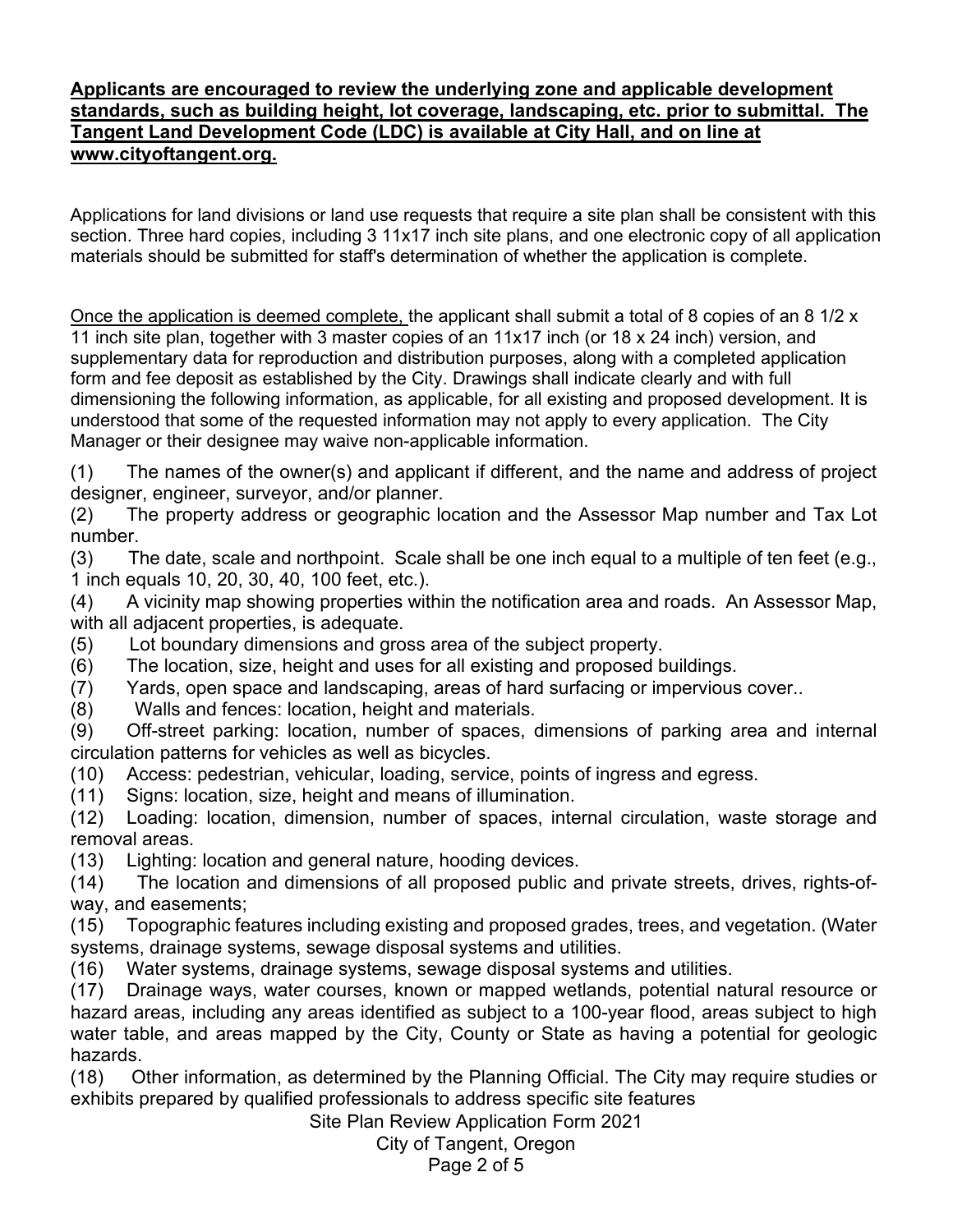# **Applicants are encouraged to review the underlying zone and applicable development standards, such as building height, lot coverage, landscaping, etc. prior to submittal. The Tangent Land Development Code (LDC) is available at City Hall, and on line at www.cityoftangent.org.**

Applications for land divisions or land use requests that require a site plan shall be consistent with this section. Three hard copies, including 3 11x17 inch site plans, and one electronic copy of all application materials should be submitted for staff's determination of whether the application is complete.

Once the application is deemed complete, the applicant shall submit a total of 8 copies of an 8 1/2 x 11 inch site plan, together with 3 master copies of an 11x17 inch (or 18 x 24 inch) version, and supplementary data for reproduction and distribution purposes, along with a completed application form and fee deposit as established by the City. Drawings shall indicate clearly and with full dimensioning the following information, as applicable, for all existing and proposed development. It is understood that some of the requested information may not apply to every application. The City Manager or their designee may waive non-applicable information.

(1) The names of the owner(s) and applicant if different, and the name and address of project designer, engineer, surveyor, and/or planner.

(2) The property address or geographic location and the Assessor Map number and Tax Lot number.

(3) The date, scale and northpoint. Scale shall be one inch equal to a multiple of ten feet (e.g., 1 inch equals 10, 20, 30, 40, 100 feet, etc.).

(4) A vicinity map showing properties within the notification area and roads. An Assessor Map, with all adjacent properties, is adequate.

(5) Lot boundary dimensions and gross area of the subject property.

(6) The location, size, height and uses for all existing and proposed buildings.

(7) Yards, open space and landscaping, areas of hard surfacing or impervious cover..

(8) Walls and fences: location, height and materials.

(9) Off-street parking: location, number of spaces, dimensions of parking area and internal circulation patterns for vehicles as well as bicycles.

(10) Access: pedestrian, vehicular, loading, service, points of ingress and egress.

(11) Signs: location, size, height and means of illumination.

(12) Loading: location, dimension, number of spaces, internal circulation, waste storage and removal areas.

(13) Lighting: location and general nature, hooding devices.

(14) The location and dimensions of all proposed public and private streets, drives, rights-ofway, and easements;

(15) Topographic features including existing and proposed grades, trees, and vegetation. (Water systems, drainage systems, sewage disposal systems and utilities.

(16) Water systems, drainage systems, sewage disposal systems and utilities.

(17) Drainage ways, water courses, known or mapped wetlands, potential natural resource or hazard areas, including any areas identified as subject to a 100-year flood, areas subject to high water table, and areas mapped by the City, County or State as having a potential for geologic hazards.

(18) Other information, as determined by the Planning Official. The City may require studies or exhibits prepared by qualified professionals to address specific site features

Site Plan Review Application Form 2021

City of Tangent, Oregon

Page 2 of 5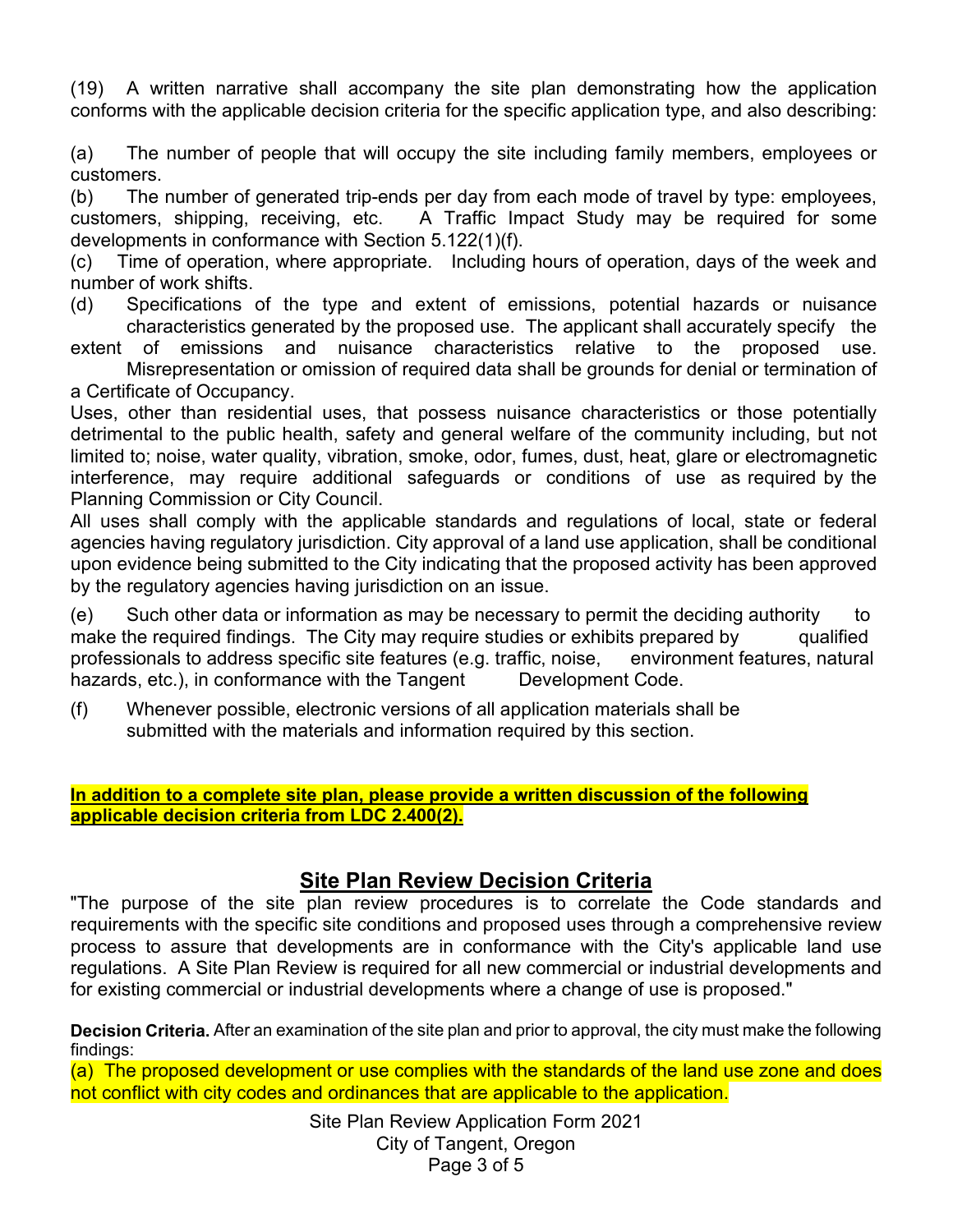(19) A written narrative shall accompany the site plan demonstrating how the application conforms with the applicable decision criteria for the specific application type, and also describing:

(a) The number of people that will occupy the site including family members, employees or customers.

(b) The number of generated trip-ends per day from each mode of travel by type: employees, customers, shipping, receiving, etc. A Traffic Impact Study may be required for some developments in conformance with Section 5.122(1)(f).

(c) Time of operation, where appropriate. Including hours of operation, days of the week and number of work shifts.

(d) Specifications of the type and extent of emissions, potential hazards or nuisance characteristics generated by the proposed use. The applicant shall accurately specify the

extent of emissions and nuisance characteristics relative to the proposed use. Misrepresentation or omission of required data shall be grounds for denial or termination of a Certificate of Occupancy.

Uses, other than residential uses, that possess nuisance characteristics or those potentially detrimental to the public health, safety and general welfare of the community including, but not limited to; noise, water quality, vibration, smoke, odor, fumes, dust, heat, glare or electromagnetic interference, may require additional safeguards or conditions of use as required by the Planning Commission or City Council.

All uses shall comply with the applicable standards and regulations of local, state or federal agencies having regulatory jurisdiction. City approval of a land use application, shall be conditional upon evidence being submitted to the City indicating that the proposed activity has been approved by the regulatory agencies having jurisdiction on an issue.

(e) Such other data or information as may be necessary to permit the deciding authority to make the required findings. The City may require studies or exhibits prepared by qualified professionals to address specific site features (e.g. traffic, noise, environment features, natural hazards, etc.), in conformance with the Tangent Development Code.

(f) Whenever possible, electronic versions of all application materials shall be submitted with the materials and information required by this section.

#### **In addition to a complete site plan, please provide a written discussion of the following applicable decision criteria from LDC 2.400(2).**

# **Site Plan Review Decision Criteria**

"The purpose of the site plan review procedures is to correlate the Code standards and requirements with the specific site conditions and proposed uses through a comprehensive review process to assure that developments are in conformance with the City's applicable land use regulations. A Site Plan Review is required for all new commercial or industrial developments and for existing commercial or industrial developments where a change of use is proposed."

**Decision Criteria.** After an examination of the site plan and prior to approval, the city must make the following findings:

(a) The proposed development or use complies with the standards of the land use zone and does not conflict with city codes and ordinances that are applicable to the application.

> Site Plan Review Application Form 2021 City of Tangent, Oregon Page 3 of 5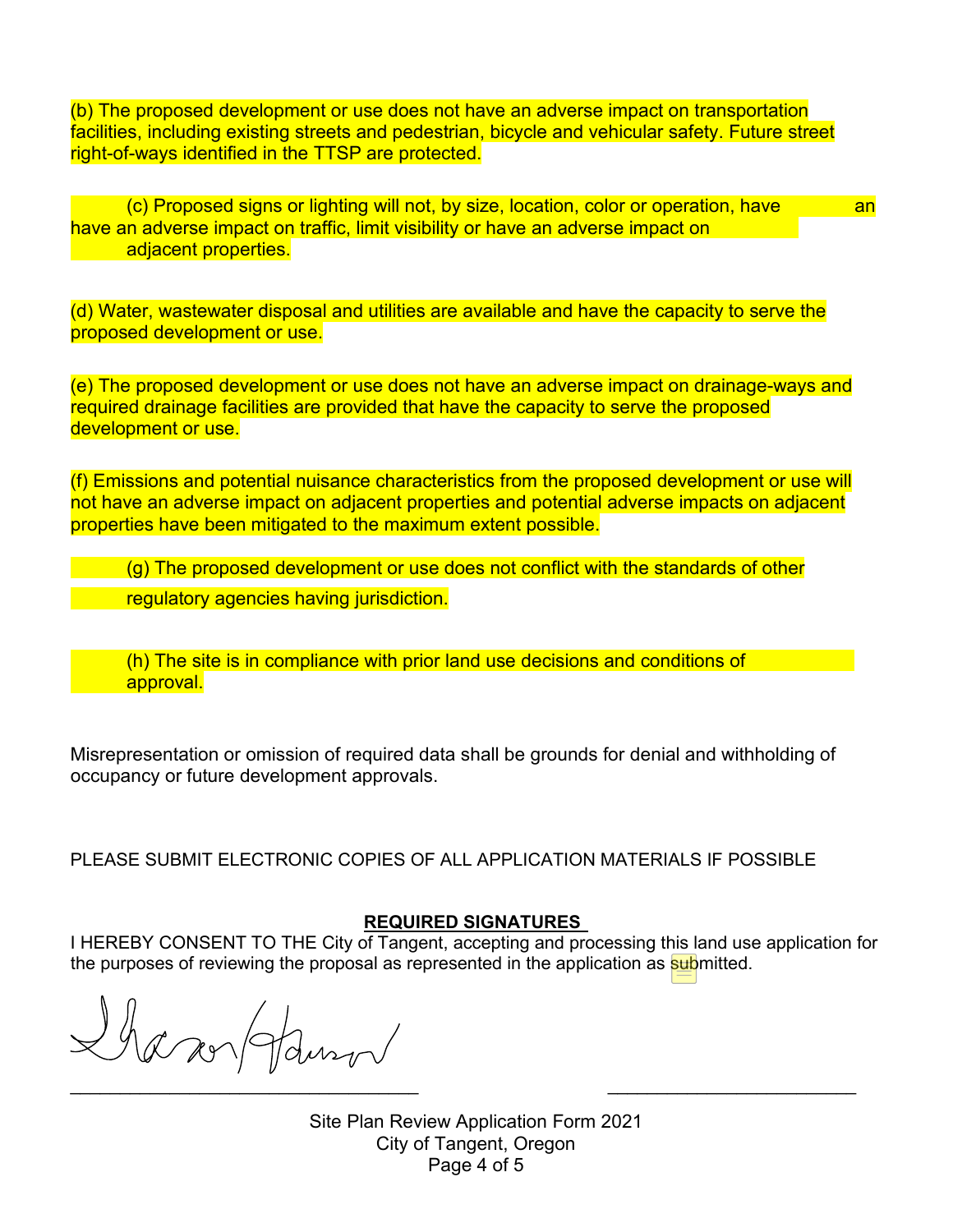(b) The proposed development or use does not have an adverse impact on transportation facilities, including existing streets and pedestrian, bicycle and vehicular safety. Future street right-of-ways identified in the TTSP are protected.

(c) Proposed signs or lighting will not, by size, location, color or operation, have an have an adverse impact on traffic, limit visibility or have an adverse impact on adjacent properties.

(d) Water, wastewater disposal and utilities are available and have the capacity to serve the proposed development or use.

(e) The proposed development or use does not have an adverse impact on drainage-ways and required drainage facilities are provided that have the capacity to serve the proposed development or use.

(f) Emissions and potential nuisance characteristics from the proposed development or use will not have an adverse impact on adjacent properties and potential adverse impacts on adjacent properties have been mitigated to the maximum extent possible.

(g) The proposed development or use does not conflict with the standards of other

regulatory agencies having jurisdiction.

 (h) The site is in compliance with prior land use decisions and conditions of approval.

Misrepresentation or omission of required data shall be grounds for denial and withholding of occupancy or future development approvals.

PLEASE SUBMIT ELECTRONIC COPIES OF ALL APPLICATION MATERIALS IF POSSIBLE

### **REQUIRED SIGNATURES**

I HEREBY CONSENT TO THE City of Tangent, accepting and processing this land use application for the purposes of reviewing the proposal as represented in the application as submitted.

Shanoldurov  $\overline{\phantom{a}}$  , and the contract of the contract of the contract of the contract of the contract of the contract of the contract of the contract of the contract of the contract of the contract of the contract of the contrac

Site Plan Review Application Form 2021 City of Tangent, Oregon Page 4 of 5